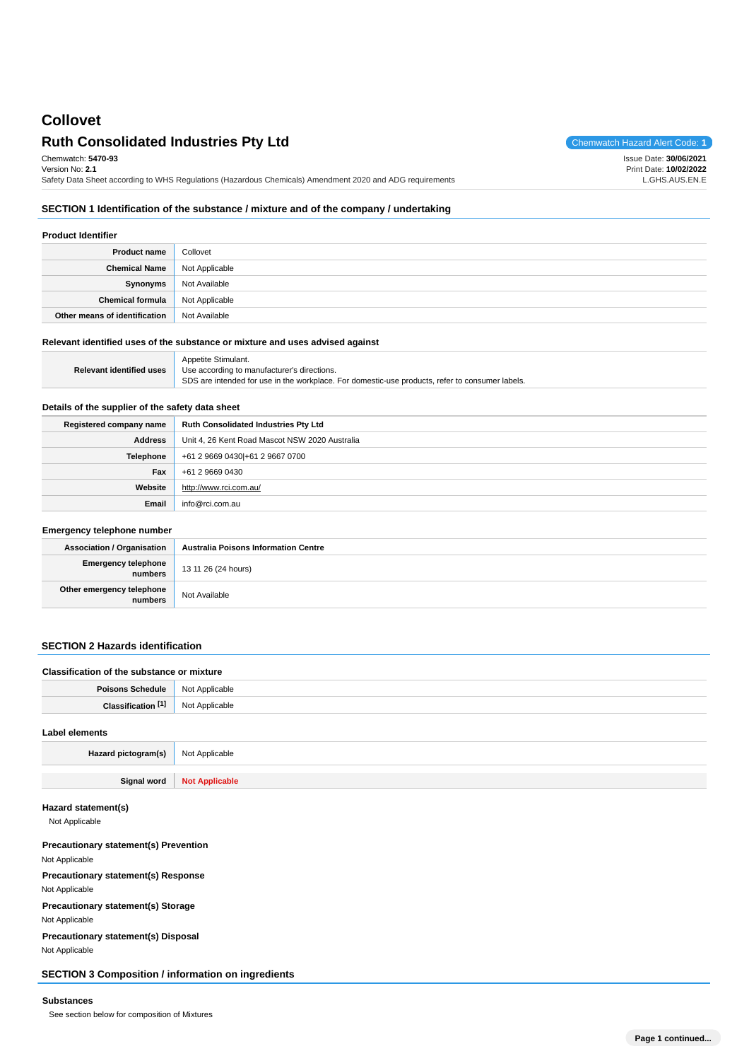# **Collovet**

## **Ruth Consolidated Industries Pty Ltd** Chemwatch Hazard Alert Code: 1

Issue Date: **30/06/2021**

Chemwatch: **5470-93**

Version No: **2.1** Safety Data Sheet according to WHS Regulations (Hazardous Chemicals) Amendment 2020 and ADG requirements Print Date: **10/02/2022** L.GHS.AUS.EN.E

### **SECTION 1 Identification of the substance / mixture and of the company / undertaking**

#### **Product Identifier**

| <b>Product name</b>           | Collovet       |
|-------------------------------|----------------|
| <b>Chemical Name</b>          | Not Applicable |
| Synonyms                      | Not Available  |
| Chemical formula              | Not Applicable |
| Other means of identification | Not Available  |

#### **Relevant identified uses of the substance or mixture and uses advised against**

|                          | Appetite Stimulant.                                                                             |
|--------------------------|-------------------------------------------------------------------------------------------------|
| Relevant identified uses | Use according to manufacturer's directions.                                                     |
|                          | SDS are intended for use in the workplace. For domestic-use products, refer to consumer labels. |

### **Details of the supplier of the safety data sheet**

| Registered company name | <b>Ruth Consolidated Industries Pty Ltd</b>    |
|-------------------------|------------------------------------------------|
| <b>Address</b>          | Unit 4, 26 Kent Road Mascot NSW 2020 Australia |
| Telephone               | +61 2 9669 0430 + 61 2 9667 0700               |
| Fax                     | +61 2 9669 0430                                |
| Website                 | http://www.rci.com.au/                         |
| Email                   | info@rci.com.au                                |

### **Emergency telephone number**

| <b>Association / Organisation</b>            | <b>Australia Poisons Information Centre</b> |
|----------------------------------------------|---------------------------------------------|
| <b>Emergency telephone</b><br><b>numbers</b> | 13 11 26 (24 hours)                         |
| Other emergency telephone<br>numbers         | Not Available                               |

### **SECTION 2 Hazards identification**

| Classification of the substance or mixture |                |
|--------------------------------------------|----------------|
| <b>Poisons Schedule</b> Not Applicable     |                |
| Classification [1]                         | Not Applicable |

# **Label elements Hazard pictogram(s)** Not Applicable **Signal word Not Applicable**

### **Hazard statement(s)**

Not Applicable

**Precautionary statement(s) Prevention** Not Applicable **Precautionary statement(s) Response** Not Applicable **Precautionary statement(s) Storage** Not Applicable **Precautionary statement(s) Disposal** Not Applicable

### **SECTION 3 Composition / information on ingredients**

### **Substances**

See section below for composition of Mixtures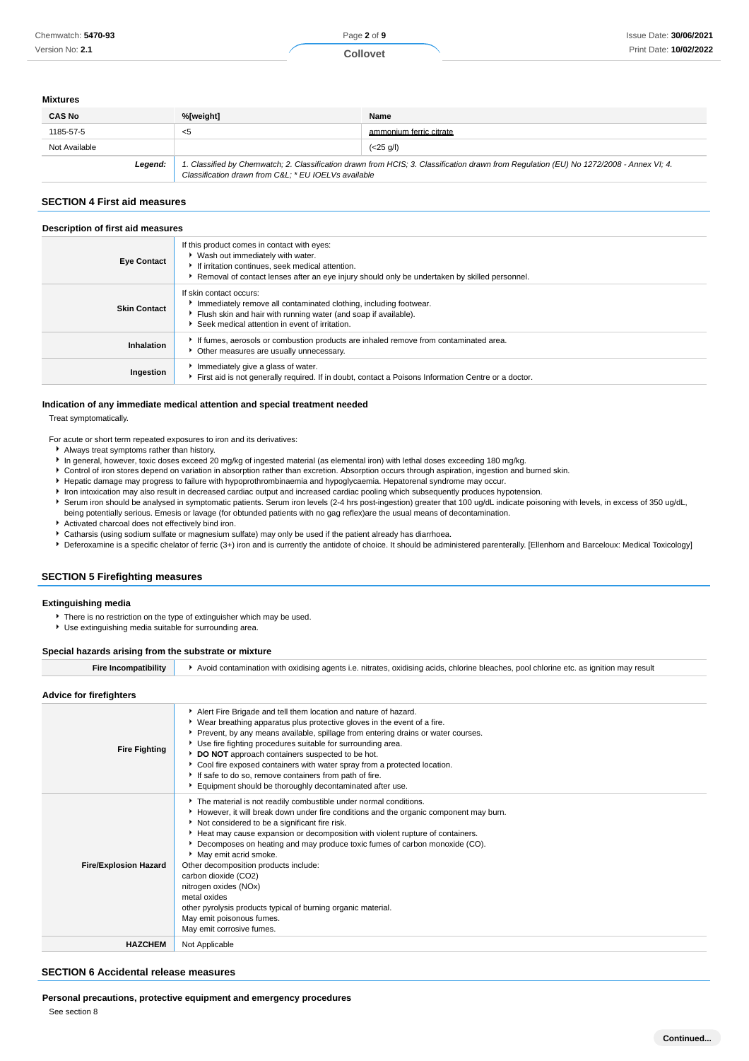#### **Mixtures**

| <b>CAS No</b> | %[weight]                                           | Name                                                                                                                                    |
|---------------|-----------------------------------------------------|-----------------------------------------------------------------------------------------------------------------------------------------|
| 1185-57-5     | $<$ 5                                               | ammonium ferric citrate                                                                                                                 |
| Not Available |                                                     | $(<25 \text{ q/l})$                                                                                                                     |
| Legend:       | Classification drawn from C&L * EU IOELVs available | 1. Classified by Chemwatch; 2. Classification drawn from HCIS; 3. Classification drawn from Regulation (EU) No 1272/2008 - Annex VI; 4. |

### **SECTION 4 First aid measures**

#### **Description of first aid measures**

| <b>Eve Contact</b>  | If this product comes in contact with eyes:<br>▶ Wash out immediately with water.<br>If irritation continues, seek medical attention.<br>Removal of contact lenses after an eye injury should only be undertaken by skilled personnel. |
|---------------------|----------------------------------------------------------------------------------------------------------------------------------------------------------------------------------------------------------------------------------------|
| <b>Skin Contact</b> | If skin contact occurs:<br>Immediately remove all contaminated clothing, including footwear.<br>Flush skin and hair with running water (and soap if available).<br>Seek medical attention in event of irritation.                      |
| Inhalation          | If fumes, aerosols or combustion products are inhaled remove from contaminated area.<br>• Other measures are usually unnecessary.                                                                                                      |
| Ingestion           | Immediately give a glass of water.<br>First aid is not generally required. If in doubt, contact a Poisons Information Centre or a doctor.                                                                                              |

#### **Indication of any immediate medical attention and special treatment needed**

Treat symptomatically.

- For acute or short term repeated exposures to iron and its derivatives:
	- Always treat symptoms rather than history.
	- In general, however, toxic doses exceed 20 mg/kg of ingested material (as elemental iron) with lethal doses exceeding 180 mg/kg.
	- Control of iron stores depend on variation in absorption rather than excretion. Absorption occurs through aspiration, ingestion and burned skin.
	- $\ddot{\phantom{1}}$ Hepatic damage may progress to failure with hypoprothrombinaemia and hypoglycaemia. Hepatorenal syndrome may occur.
	- Iron intoxication may also result in decreased cardiac output and increased cardiac pooling which subsequently produces hypotension.
	- Serum iron should be analysed in symptomatic patients. Serum iron levels (2-4 hrs post-ingestion) greater that 100 ug/dL indicate poisoning with levels, in excess of 350 ug/dL,
	- being potentially serious. Emesis or lavage (for obtunded patients with no gag reflex)are the usual means of decontamination. Activated charcoal does not effectively bind iron.
	- Catharsis (using sodium sulfate or magnesium sulfate) may only be used if the patient already has diarrhoea.
	- Deferoxamine is a specific chelator of ferric (3+) iron and is currently the antidote of choice. It should be administered parenterally. [Ellenhorn and Barceloux: Medical Toxicology]

### **SECTION 5 Firefighting measures**

#### **Extinguishing media**

- **There is no restriction on the type of extinguisher which may be used.**
- Use extinguishing media suitable for surrounding area.

#### **Special hazards arising from the substrate or mixture**

| Fire Incompatibility | Avoid contamination with oxidising agents i.e. nitrates, oxidising acids, chlorine bleaches, pool chlorine etc, as ignition may result |  |
|----------------------|----------------------------------------------------------------------------------------------------------------------------------------|--|
|                      |                                                                                                                                        |  |

### **Advice for firefighters**

| Advice for tirelighters      |                                                                                                                                                                                                                                                                                                                                                                                                                                                                                                                                                                                                                                             |
|------------------------------|---------------------------------------------------------------------------------------------------------------------------------------------------------------------------------------------------------------------------------------------------------------------------------------------------------------------------------------------------------------------------------------------------------------------------------------------------------------------------------------------------------------------------------------------------------------------------------------------------------------------------------------------|
| <b>Fire Fighting</b>         | Alert Fire Brigade and tell them location and nature of hazard.<br>▶ Wear breathing apparatus plus protective gloves in the event of a fire.<br>▶ Prevent, by any means available, spillage from entering drains or water courses.<br>Use fire fighting procedures suitable for surrounding area.<br>DO NOT approach containers suspected to be hot.<br>► Cool fire exposed containers with water spray from a protected location.<br>If safe to do so, remove containers from path of fire.<br>Equipment should be thoroughly decontaminated after use.                                                                                    |
| <b>Fire/Explosion Hazard</b> | The material is not readily combustible under normal conditions.<br>► However, it will break down under fire conditions and the organic component may burn.<br>Not considered to be a significant fire risk.<br>Heat may cause expansion or decomposition with violent rupture of containers.<br>▶ Decomposes on heating and may produce toxic fumes of carbon monoxide (CO).<br>May emit acrid smoke.<br>Other decomposition products include:<br>carbon dioxide (CO2)<br>nitrogen oxides (NOx)<br>metal oxides<br>other pyrolysis products typical of burning organic material.<br>May emit poisonous fumes.<br>May emit corrosive fumes. |
| <b>HAZCHEM</b>               | Not Applicable                                                                                                                                                                                                                                                                                                                                                                                                                                                                                                                                                                                                                              |

### **SECTION 6 Accidental release measures**

**Personal precautions, protective equipment and emergency procedures**

See section 8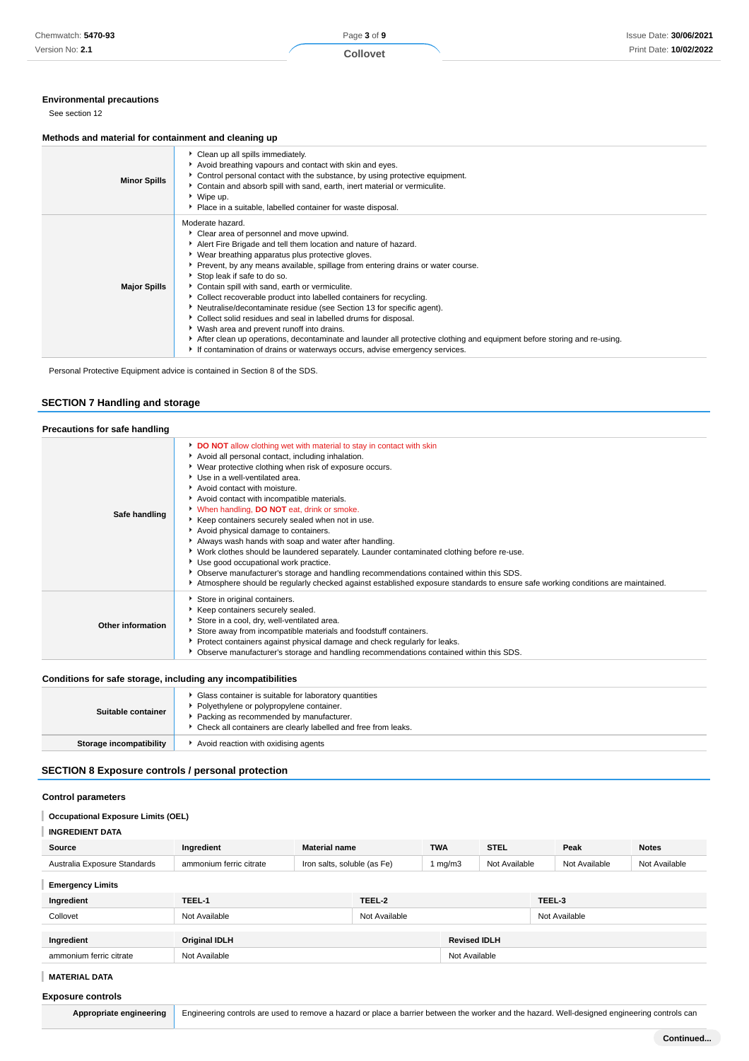### **Environmental precautions**

See section 12

### **Methods and material for containment and cleaning up**

| <b>Minor Spills</b> | Clean up all spills immediately.<br>Avoid breathing vapours and contact with skin and eyes.<br>Control personal contact with the substance, by using protective equipment.<br>▶ Contain and absorb spill with sand, earth, inert material or vermiculite.<br>▶ Wipe up.<br>• Place in a suitable, labelled container for waste disposal.                                                                                                                                                                                                                                                                                                                                                                                                                                                                                               |
|---------------------|----------------------------------------------------------------------------------------------------------------------------------------------------------------------------------------------------------------------------------------------------------------------------------------------------------------------------------------------------------------------------------------------------------------------------------------------------------------------------------------------------------------------------------------------------------------------------------------------------------------------------------------------------------------------------------------------------------------------------------------------------------------------------------------------------------------------------------------|
| <b>Major Spills</b> | Moderate hazard.<br>Clear area of personnel and move upwind.<br>Alert Fire Brigade and tell them location and nature of hazard.<br>▶ Wear breathing apparatus plus protective gloves.<br>▶ Prevent, by any means available, spillage from entering drains or water course.<br>Stop leak if safe to do so.<br>Contain spill with sand, earth or vermiculite.<br>Collect recoverable product into labelled containers for recycling.<br>Neutralise/decontaminate residue (see Section 13 for specific agent).<br>Collect solid residues and seal in labelled drums for disposal.<br>▶ Wash area and prevent runoff into drains.<br>After clean up operations, decontaminate and launder all protective clothing and equipment before storing and re-using.<br>If contamination of drains or waterways occurs, advise emergency services. |

Personal Protective Equipment advice is contained in Section 8 of the SDS.

### **SECTION 7 Handling and storage**

| Precautions for safe handling |                                                                                                                                                                                                                                                                                                                                                                                                                                                                                                                                                                                                                                                                                                                                                                                                                                                                                    |  |
|-------------------------------|------------------------------------------------------------------------------------------------------------------------------------------------------------------------------------------------------------------------------------------------------------------------------------------------------------------------------------------------------------------------------------------------------------------------------------------------------------------------------------------------------------------------------------------------------------------------------------------------------------------------------------------------------------------------------------------------------------------------------------------------------------------------------------------------------------------------------------------------------------------------------------|--|
| Safe handling                 | DO NOT allow clothing wet with material to stay in contact with skin<br>Avoid all personal contact, including inhalation.<br>▶ Wear protective clothing when risk of exposure occurs.<br>Use in a well-ventilated area.<br>Avoid contact with moisture.<br>Avoid contact with incompatible materials.<br>V When handling, DO NOT eat, drink or smoke.<br>Keep containers securely sealed when not in use.<br>Avoid physical damage to containers.<br>Always wash hands with soap and water after handling.<br>▶ Work clothes should be laundered separately. Launder contaminated clothing before re-use.<br>▶ Use good occupational work practice.<br>▶ Observe manufacturer's storage and handling recommendations contained within this SDS.<br>Atmosphere should be regularly checked against established exposure standards to ensure safe working conditions are maintained. |  |
| Other information             | Store in original containers.<br>Keep containers securely sealed.<br>Store in a cool, dry, well-ventilated area.<br>Store away from incompatible materials and foodstuff containers.<br>▶ Protect containers against physical damage and check regularly for leaks.<br>▶ Observe manufacturer's storage and handling recommendations contained within this SDS.                                                                                                                                                                                                                                                                                                                                                                                                                                                                                                                    |  |

### **Conditions for safe storage, including any incompatibilities**

| Suitable container      | Glass container is suitable for laboratory quantities<br>Polyethylene or polypropylene container.<br>Packing as recommended by manufacturer.<br>• Check all containers are clearly labelled and free from leaks. |
|-------------------------|------------------------------------------------------------------------------------------------------------------------------------------------------------------------------------------------------------------|
| Storage incompatibility | Avoid reaction with oxidising agents                                                                                                                                                                             |

### **SECTION 8 Exposure controls / personal protection**

### **Control parameters**

#### **Occupational Exposure Limits (OEL)** U

| Source                       | <b>Material name</b><br>Ingredient |                             |               | <b>TWA</b> | <b>STEL</b>         |        | Peak          | <b>Notes</b>  |
|------------------------------|------------------------------------|-----------------------------|---------------|------------|---------------------|--------|---------------|---------------|
| Australia Exposure Standards | ammonium ferric citrate            | Iron salts, soluble (as Fe) |               | 1 mg/m $3$ | Not Available       |        | Not Available | Not Available |
| <b>Emergency Limits</b>      |                                    |                             |               |            |                     |        |               |               |
| Ingredient                   | TEEL-1                             |                             | TEEL-2        |            |                     | TEEL-3 |               |               |
| Collovet                     | Not Available                      |                             | Not Available |            |                     |        | Not Available |               |
|                              |                                    |                             |               |            |                     |        |               |               |
| Ingredient                   | <b>Original IDLH</b>               |                             |               |            | <b>Revised IDLH</b> |        |               |               |
| ammonium ferric citrate      | Not Available                      |                             |               |            | Not Available       |        |               |               |

### **MATERIAL DATA**

### **Exposure controls**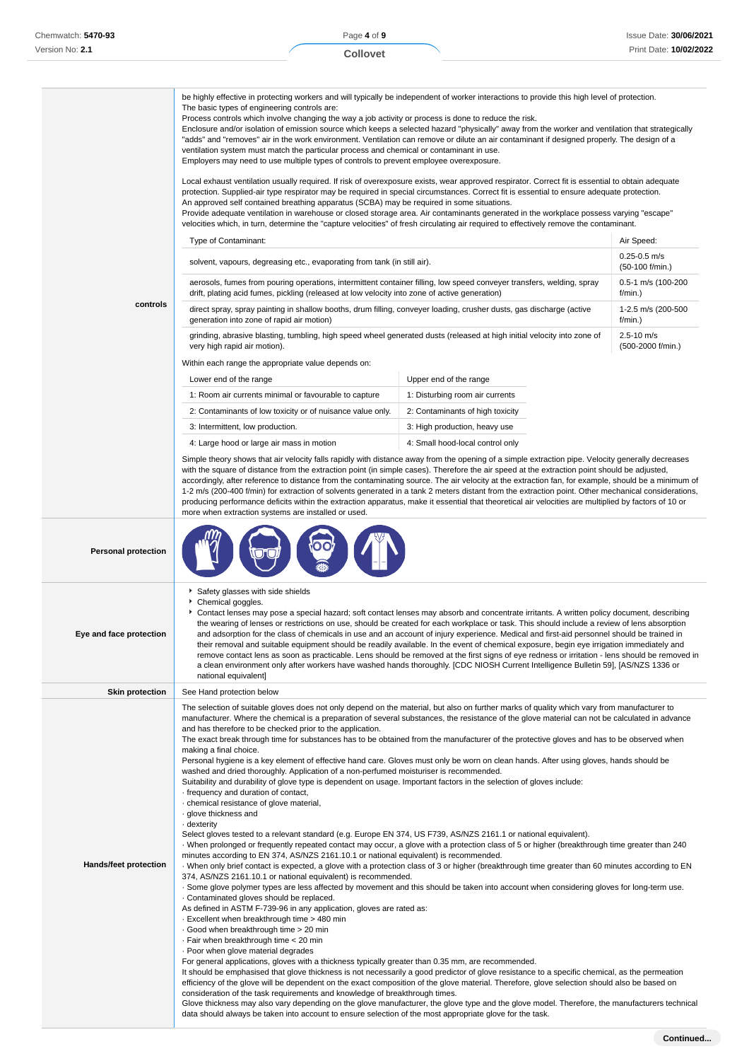|                              | be highly effective in protecting workers and will typically be independent of worker interactions to provide this high level of protection.<br>The basic types of engineering controls are:<br>Process controls which involve changing the way a job activity or process is done to reduce the risk.<br>Enclosure and/or isolation of emission source which keeps a selected hazard "physically" away from the worker and ventilation that strategically<br>"adds" and "removes" air in the work environment. Ventilation can remove or dilute an air contaminant if designed properly. The design of a<br>ventilation system must match the particular process and chemical or contaminant in use.<br>Employers may need to use multiple types of controls to prevent employee overexposure.<br>Local exhaust ventilation usually required. If risk of overexposure exists, wear approved respirator. Correct fit is essential to obtain adequate<br>protection. Supplied-air type respirator may be required in special circumstances. Correct fit is essential to ensure adequate protection.<br>An approved self contained breathing apparatus (SCBA) may be required in some situations.<br>Provide adequate ventilation in warehouse or closed storage area. Air contaminants generated in the workplace possess varying "escape"<br>velocities which, in turn, determine the "capture velocities" of fresh circulating air required to effectively remove the contaminant.<br>Type of Contaminant:                                                                                                                                                                                                                                                                                                                                                                                                                                                                                                                                                                                                                                                                                                                                                                                                                                                                                                                             |                                  | Air Speed:                             |  |  |
|------------------------------|----------------------------------------------------------------------------------------------------------------------------------------------------------------------------------------------------------------------------------------------------------------------------------------------------------------------------------------------------------------------------------------------------------------------------------------------------------------------------------------------------------------------------------------------------------------------------------------------------------------------------------------------------------------------------------------------------------------------------------------------------------------------------------------------------------------------------------------------------------------------------------------------------------------------------------------------------------------------------------------------------------------------------------------------------------------------------------------------------------------------------------------------------------------------------------------------------------------------------------------------------------------------------------------------------------------------------------------------------------------------------------------------------------------------------------------------------------------------------------------------------------------------------------------------------------------------------------------------------------------------------------------------------------------------------------------------------------------------------------------------------------------------------------------------------------------------------------------------------------------------------------------------------------------------------------------------------------------------------------------------------------------------------------------------------------------------------------------------------------------------------------------------------------------------------------------------------------------------------------------------------------------------------------------------------------------------------------------------------------------------------------------------------------------------------------------|----------------------------------|----------------------------------------|--|--|
|                              | solvent, vapours, degreasing etc., evaporating from tank (in still air).                                                                                                                                                                                                                                                                                                                                                                                                                                                                                                                                                                                                                                                                                                                                                                                                                                                                                                                                                                                                                                                                                                                                                                                                                                                                                                                                                                                                                                                                                                                                                                                                                                                                                                                                                                                                                                                                                                                                                                                                                                                                                                                                                                                                                                                                                                                                                               |                                  | $0.25 - 0.5$ m/s<br>$(50-100)$ f/min.) |  |  |
|                              | aerosols, fumes from pouring operations, intermittent container filling, low speed conveyer transfers, welding, spray<br>drift, plating acid fumes, pickling (released at low velocity into zone of active generation)                                                                                                                                                                                                                                                                                                                                                                                                                                                                                                                                                                                                                                                                                                                                                                                                                                                                                                                                                                                                                                                                                                                                                                                                                                                                                                                                                                                                                                                                                                                                                                                                                                                                                                                                                                                                                                                                                                                                                                                                                                                                                                                                                                                                                 |                                  | 0.5-1 m/s (100-200<br>f/min.)          |  |  |
| controls                     | direct spray, spray painting in shallow booths, drum filling, conveyer loading, crusher dusts, gas discharge (active<br>generation into zone of rapid air motion)                                                                                                                                                                                                                                                                                                                                                                                                                                                                                                                                                                                                                                                                                                                                                                                                                                                                                                                                                                                                                                                                                                                                                                                                                                                                                                                                                                                                                                                                                                                                                                                                                                                                                                                                                                                                                                                                                                                                                                                                                                                                                                                                                                                                                                                                      |                                  | 1-2.5 m/s (200-500<br>f/min.)          |  |  |
|                              | grinding, abrasive blasting, tumbling, high speed wheel generated dusts (released at high initial velocity into zone of<br>very high rapid air motion).                                                                                                                                                                                                                                                                                                                                                                                                                                                                                                                                                                                                                                                                                                                                                                                                                                                                                                                                                                                                                                                                                                                                                                                                                                                                                                                                                                                                                                                                                                                                                                                                                                                                                                                                                                                                                                                                                                                                                                                                                                                                                                                                                                                                                                                                                |                                  | 2.5-10 m/s<br>(500-2000 f/min.)        |  |  |
|                              | Within each range the appropriate value depends on:                                                                                                                                                                                                                                                                                                                                                                                                                                                                                                                                                                                                                                                                                                                                                                                                                                                                                                                                                                                                                                                                                                                                                                                                                                                                                                                                                                                                                                                                                                                                                                                                                                                                                                                                                                                                                                                                                                                                                                                                                                                                                                                                                                                                                                                                                                                                                                                    |                                  |                                        |  |  |
|                              | Lower end of the range                                                                                                                                                                                                                                                                                                                                                                                                                                                                                                                                                                                                                                                                                                                                                                                                                                                                                                                                                                                                                                                                                                                                                                                                                                                                                                                                                                                                                                                                                                                                                                                                                                                                                                                                                                                                                                                                                                                                                                                                                                                                                                                                                                                                                                                                                                                                                                                                                 | Upper end of the range           |                                        |  |  |
|                              | 1: Room air currents minimal or favourable to capture                                                                                                                                                                                                                                                                                                                                                                                                                                                                                                                                                                                                                                                                                                                                                                                                                                                                                                                                                                                                                                                                                                                                                                                                                                                                                                                                                                                                                                                                                                                                                                                                                                                                                                                                                                                                                                                                                                                                                                                                                                                                                                                                                                                                                                                                                                                                                                                  | 1: Disturbing room air currents  |                                        |  |  |
|                              | 2: Contaminants of low toxicity or of nuisance value only.                                                                                                                                                                                                                                                                                                                                                                                                                                                                                                                                                                                                                                                                                                                                                                                                                                                                                                                                                                                                                                                                                                                                                                                                                                                                                                                                                                                                                                                                                                                                                                                                                                                                                                                                                                                                                                                                                                                                                                                                                                                                                                                                                                                                                                                                                                                                                                             | 2: Contaminants of high toxicity |                                        |  |  |
|                              | 3: Intermittent, low production.                                                                                                                                                                                                                                                                                                                                                                                                                                                                                                                                                                                                                                                                                                                                                                                                                                                                                                                                                                                                                                                                                                                                                                                                                                                                                                                                                                                                                                                                                                                                                                                                                                                                                                                                                                                                                                                                                                                                                                                                                                                                                                                                                                                                                                                                                                                                                                                                       | 3: High production, heavy use    |                                        |  |  |
|                              | 4: Large hood or large air mass in motion                                                                                                                                                                                                                                                                                                                                                                                                                                                                                                                                                                                                                                                                                                                                                                                                                                                                                                                                                                                                                                                                                                                                                                                                                                                                                                                                                                                                                                                                                                                                                                                                                                                                                                                                                                                                                                                                                                                                                                                                                                                                                                                                                                                                                                                                                                                                                                                              | 4: Small hood-local control only |                                        |  |  |
|                              | Simple theory shows that air velocity falls rapidly with distance away from the opening of a simple extraction pipe. Velocity generally decreases<br>with the square of distance from the extraction point (in simple cases). Therefore the air speed at the extraction point should be adjusted,<br>accordingly, after reference to distance from the contaminating source. The air velocity at the extraction fan, for example, should be a minimum of<br>1-2 m/s (200-400 f/min) for extraction of solvents generated in a tank 2 meters distant from the extraction point. Other mechanical considerations,<br>producing performance deficits within the extraction apparatus, make it essential that theoretical air velocities are multiplied by factors of 10 or<br>more when extraction systems are installed or used.                                                                                                                                                                                                                                                                                                                                                                                                                                                                                                                                                                                                                                                                                                                                                                                                                                                                                                                                                                                                                                                                                                                                                                                                                                                                                                                                                                                                                                                                                                                                                                                                         |                                  |                                        |  |  |
| <b>Personal protection</b>   |                                                                                                                                                                                                                                                                                                                                                                                                                                                                                                                                                                                                                                                                                                                                                                                                                                                                                                                                                                                                                                                                                                                                                                                                                                                                                                                                                                                                                                                                                                                                                                                                                                                                                                                                                                                                                                                                                                                                                                                                                                                                                                                                                                                                                                                                                                                                                                                                                                        |                                  |                                        |  |  |
| Eye and face protection      | Safety glasses with side shields<br>Chemical goggles.<br>▶ Contact lenses may pose a special hazard; soft contact lenses may absorb and concentrate irritants. A written policy document, describing<br>the wearing of lenses or restrictions on use, should be created for each workplace or task. This should include a review of lens absorption<br>and adsorption for the class of chemicals in use and an account of injury experience. Medical and first-aid personnel should be trained in<br>their removal and suitable equipment should be readily available. In the event of chemical exposure, begin eye irrigation immediately and<br>remove contact lens as soon as practicable. Lens should be removed at the first signs of eye redness or irritation - lens should be removed in<br>a clean environment only after workers have washed hands thoroughly. [CDC NIOSH Current Intelligence Bulletin 59], [AS/NZS 1336 or                                                                                                                                                                                                                                                                                                                                                                                                                                                                                                                                                                                                                                                                                                                                                                                                                                                                                                                                                                                                                                                                                                                                                                                                                                                                                                                                                                                                                                                                                                 |                                  |                                        |  |  |
| <b>Skin protection</b>       | See Hand protection below                                                                                                                                                                                                                                                                                                                                                                                                                                                                                                                                                                                                                                                                                                                                                                                                                                                                                                                                                                                                                                                                                                                                                                                                                                                                                                                                                                                                                                                                                                                                                                                                                                                                                                                                                                                                                                                                                                                                                                                                                                                                                                                                                                                                                                                                                                                                                                                                              |                                  |                                        |  |  |
|                              | The selection of suitable gloves does not only depend on the material, but also on further marks of quality which vary from manufacturer to<br>manufacturer. Where the chemical is a preparation of several substances, the resistance of the glove material can not be calculated in advance<br>and has therefore to be checked prior to the application.                                                                                                                                                                                                                                                                                                                                                                                                                                                                                                                                                                                                                                                                                                                                                                                                                                                                                                                                                                                                                                                                                                                                                                                                                                                                                                                                                                                                                                                                                                                                                                                                                                                                                                                                                                                                                                                                                                                                                                                                                                                                             |                                  |                                        |  |  |
| <b>Hands/feet protection</b> | The exact break through time for substances has to be obtained from the manufacturer of the protective gloves and has to be observed when<br>making a final choice.<br>Personal hygiene is a key element of effective hand care. Gloves must only be worn on clean hands. After using gloves, hands should be<br>washed and dried thoroughly. Application of a non-perfumed moisturiser is recommended.<br>Suitability and durability of glove type is dependent on usage. Important factors in the selection of gloves include:<br>frequency and duration of contact,<br>· chemical resistance of glove material,<br>· glove thickness and<br>dexterity .<br>Select gloves tested to a relevant standard (e.g. Europe EN 374, US F739, AS/NZS 2161.1 or national equivalent).<br>When prolonged or frequently repeated contact may occur, a glove with a protection class of 5 or higher (breakthrough time greater than 240<br>minutes according to EN 374, AS/NZS 2161.10.1 or national equivalent) is recommended.<br>· When only brief contact is expected, a glove with a protection class of 3 or higher (breakthrough time greater than 60 minutes according to EN<br>374, AS/NZS 2161.10.1 or national equivalent) is recommended.<br>. Some glove polymer types are less affected by movement and this should be taken into account when considering gloves for long-term use.<br>Contaminated gloves should be replaced.<br>As defined in ASTM F-739-96 in any application, gloves are rated as:<br>Excellent when breakthrough time > 480 min<br>Good when breakthrough time > 20 min<br>· Fair when breakthrough time < 20 min<br>. Poor when glove material degrades<br>For general applications, gloves with a thickness typically greater than 0.35 mm, are recommended.<br>It should be emphasised that glove thickness is not necessarily a good predictor of glove resistance to a specific chemical, as the permeation<br>efficiency of the glove will be dependent on the exact composition of the glove material. Therefore, glove selection should also be based on<br>consideration of the task requirements and knowledge of breakthrough times.<br>Glove thickness may also vary depending on the glove manufacturer, the glove type and the glove model. Therefore, the manufacturers technical<br>data should always be taken into account to ensure selection of the most appropriate glove for the task. |                                  |                                        |  |  |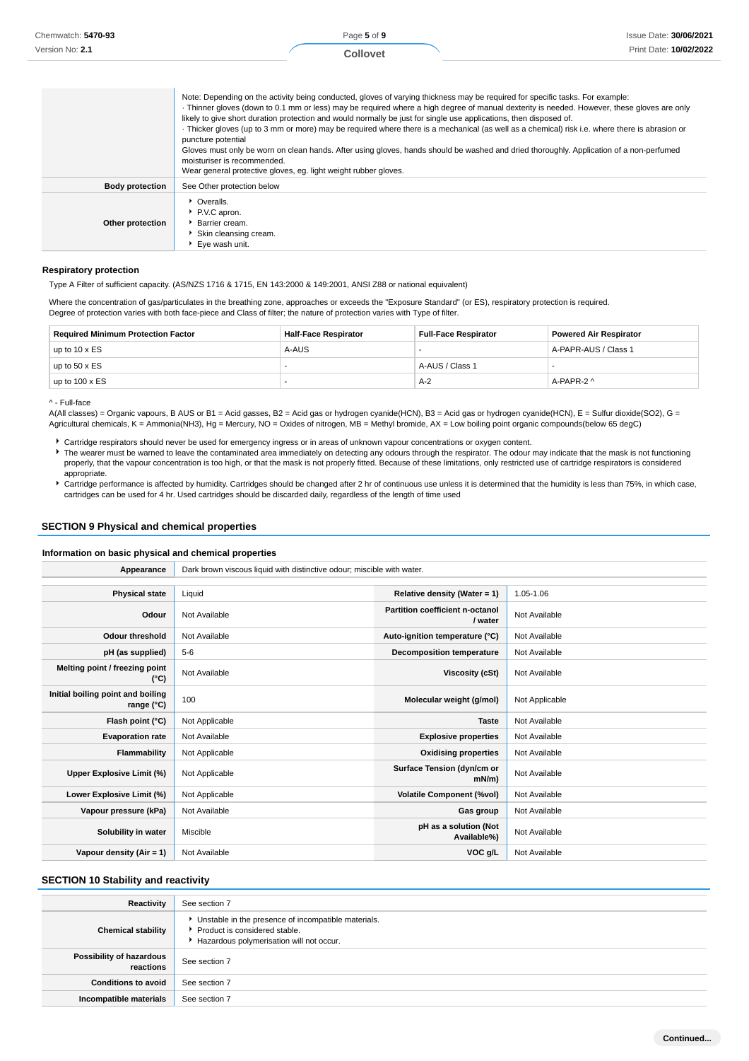| Chemwatch: 5470-93     |                                                                                                                                                                                                                                                                                                                                                                             | Page 5 of 9     | Issue Date: 30/06/2021                                                                                                                                                                                                                                                                                                                                                                                                                 |
|------------------------|-----------------------------------------------------------------------------------------------------------------------------------------------------------------------------------------------------------------------------------------------------------------------------------------------------------------------------------------------------------------------------|-----------------|----------------------------------------------------------------------------------------------------------------------------------------------------------------------------------------------------------------------------------------------------------------------------------------------------------------------------------------------------------------------------------------------------------------------------------------|
| Version No: 2.1        |                                                                                                                                                                                                                                                                                                                                                                             | <b>Collovet</b> | Print Date: 10/02/2022                                                                                                                                                                                                                                                                                                                                                                                                                 |
|                        | Note: Depending on the activity being conducted, gloves of varying thickness may be required for specific tasks. For example:<br>likely to give short duration protection and would normally be just for single use applications, then disposed of.<br>puncture potential<br>moisturiser is recommended.<br>Wear general protective gloves, eg. light weight rubber gloves. |                 | · Thinner gloves (down to 0.1 mm or less) may be required where a high degree of manual dexterity is needed. However, these gloves are only<br>Thicker gloves (up to 3 mm or more) may be required where there is a mechanical (as well as a chemical) risk i.e. where there is abrasion or<br>Gloves must only be worn on clean hands. After using gloves, hands should be washed and dried thoroughly. Application of a non-perfumed |
| <b>Body protection</b> | See Other protection below                                                                                                                                                                                                                                                                                                                                                  |                 |                                                                                                                                                                                                                                                                                                                                                                                                                                        |
| Other protection       | • Overalls.<br>P.V.C apron.<br>Barrier cream.<br>Skin cleansing cream.<br>Eye wash unit.                                                                                                                                                                                                                                                                                    |                 |                                                                                                                                                                                                                                                                                                                                                                                                                                        |

#### **Respiratory protection**

Type A Filter of sufficient capacity. (AS/NZS 1716 & 1715, EN 143:2000 & 149:2001, ANSI Z88 or national equivalent)

Where the concentration of gas/particulates in the breathing zone, approaches or exceeds the "Exposure Standard" (or ES), respiratory protection is required. Degree of protection varies with both face-piece and Class of filter; the nature of protection varies with Type of filter.

| <b>Required Minimum Protection Factor</b> | <b>Half-Face Respirator</b> | <b>Full-Face Respirator</b> | <b>Powered Air Respirator</b> |
|-------------------------------------------|-----------------------------|-----------------------------|-------------------------------|
| up to $10 \times ES$                      | A-AUS                       |                             | A-PAPR-AUS / Class 1          |
| up to $50 \times ES$                      |                             | A-AUS / Class 1             |                               |
| up to $100 \times ES$                     |                             | $A-2$                       | A-PAPR-2 ^                    |

^ - Full-face

A(All classes) = Organic vapours, B AUS or B1 = Acid gasses, B2 = Acid gas or hydrogen cyanide(HCN), B3 = Acid gas or hydrogen cyanide(HCN), E = Sulfur dioxide(SO2), G = Agricultural chemicals, K = Ammonia(NH3), Hg = Mercury, NO = Oxides of nitrogen, MB = Methyl bromide, AX = Low boiling point organic compounds(below 65 degC)

Cartridge respirators should never be used for emergency ingress or in areas of unknown vapour concentrations or oxygen content.

▶ The wearer must be warned to leave the contaminated area immediately on detecting any odours through the respirator. The odour may indicate that the mask is not functioning properly, that the vapour concentration is too high, or that the mask is not properly fitted. Because of these limitations, only restricted use of cartridge respirators is considered appropriate.

Cartridge performance is affected by humidity. Cartridges should be changed after 2 hr of continuous use unless it is determined that the humidity is less than 75%, in which case, cartridges can be used for 4 hr. Used cartridges should be discarded daily, regardless of the length of time used

#### **SECTION 9 Physical and chemical properties**

### **Information on basic physical and chemical properties**

| Appearance                                      | Dark brown viscous liquid with distinctive odour; miscible with water. |                                            |                |  |
|-------------------------------------------------|------------------------------------------------------------------------|--------------------------------------------|----------------|--|
|                                                 |                                                                        |                                            |                |  |
| <b>Physical state</b>                           | Liquid                                                                 | Relative density (Water = 1)               | 1.05-1.06      |  |
| Odour                                           | Not Available                                                          | Partition coefficient n-octanol<br>/ water | Not Available  |  |
| <b>Odour threshold</b>                          | Not Available                                                          | Auto-ignition temperature (°C)             | Not Available  |  |
| pH (as supplied)                                | $5 - 6$                                                                | <b>Decomposition temperature</b>           | Not Available  |  |
| Melting point / freezing point<br>(°C)          | Not Available                                                          | Viscosity (cSt)                            | Not Available  |  |
| Initial boiling point and boiling<br>range (°C) | 100                                                                    | Molecular weight (g/mol)                   | Not Applicable |  |
| Flash point (°C)                                | Not Applicable                                                         | <b>Taste</b>                               | Not Available  |  |
| <b>Evaporation rate</b>                         | Not Available                                                          | <b>Explosive properties</b>                | Not Available  |  |
| Flammability                                    | Not Applicable                                                         | <b>Oxidising properties</b>                | Not Available  |  |
| Upper Explosive Limit (%)                       | Not Applicable                                                         | Surface Tension (dyn/cm or<br>$mN/m$ )     | Not Available  |  |
| Lower Explosive Limit (%)                       | Not Applicable                                                         | <b>Volatile Component (%vol)</b>           | Not Available  |  |
| Vapour pressure (kPa)                           | Not Available                                                          | Gas group                                  | Not Available  |  |
| Solubility in water                             | Miscible                                                               | pH as a solution (Not<br>Available%)       | Not Available  |  |
| Vapour density (Air = $1$ )                     | Not Available                                                          | VOC g/L                                    | Not Available  |  |

### **SECTION 10 Stability and reactivity**

| Reactivity                            | See section 7                                                                                                                    |
|---------------------------------------|----------------------------------------------------------------------------------------------------------------------------------|
| <b>Chemical stability</b>             | Unstable in the presence of incompatible materials.<br>Product is considered stable.<br>Hazardous polymerisation will not occur. |
| Possibility of hazardous<br>reactions | See section 7                                                                                                                    |
| <b>Conditions to avoid</b>            | See section 7                                                                                                                    |
| Incompatible materials                | See section 7                                                                                                                    |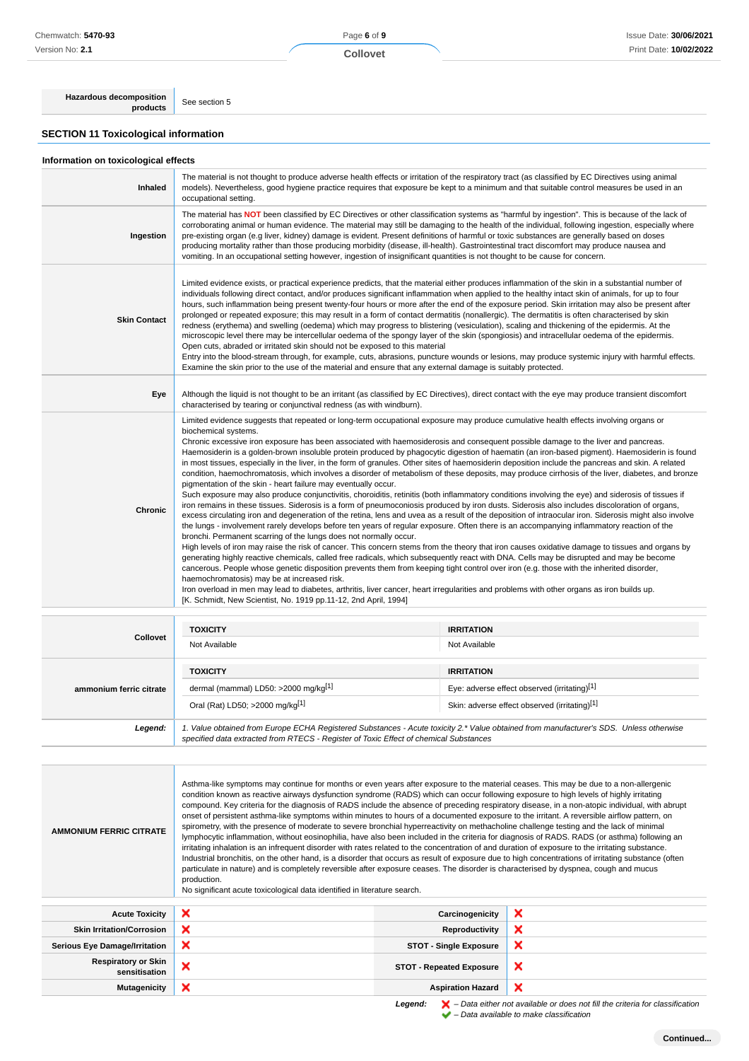Page **6** of **9**

**Collovet**

**Hazardous decomposition**<br>**products** See section 5

### **SECTION 11 Toxicological information**

|  | Information on toxicological effects |  |
|--|--------------------------------------|--|
|  |                                      |  |

<u> Tanzania (h. 1888).</u>

| Inhaled             | The material is not thought to produce adverse health effects or irritation of the respiratory tract (as classified by EC Directives using animal<br>models). Nevertheless, good hygiene practice requires that exposure be kept to a minimum and that suitable control measures be used in an<br>occupational setting.                                                                                                                                                                                                                                                                                                                                                                                                                                                                                                                                                                                                                                                                                                                                                                                                                                                                                                                                                                                                                                                                                                                                                                                                                                                                                                                                                                                                                                                                                                                                                                                                                                                                                                                                                                                                                                                                                                  |
|---------------------|--------------------------------------------------------------------------------------------------------------------------------------------------------------------------------------------------------------------------------------------------------------------------------------------------------------------------------------------------------------------------------------------------------------------------------------------------------------------------------------------------------------------------------------------------------------------------------------------------------------------------------------------------------------------------------------------------------------------------------------------------------------------------------------------------------------------------------------------------------------------------------------------------------------------------------------------------------------------------------------------------------------------------------------------------------------------------------------------------------------------------------------------------------------------------------------------------------------------------------------------------------------------------------------------------------------------------------------------------------------------------------------------------------------------------------------------------------------------------------------------------------------------------------------------------------------------------------------------------------------------------------------------------------------------------------------------------------------------------------------------------------------------------------------------------------------------------------------------------------------------------------------------------------------------------------------------------------------------------------------------------------------------------------------------------------------------------------------------------------------------------------------------------------------------------------------------------------------------------|
| Ingestion           | The material has NOT been classified by EC Directives or other classification systems as "harmful by ingestion". This is because of the lack of<br>corroborating animal or human evidence. The material may still be damaging to the health of the individual, following ingestion, especially where<br>pre-existing organ (e.g liver, kidney) damage is evident. Present definitions of harmful or toxic substances are generally based on doses<br>producing mortality rather than those producing morbidity (disease, ill-health). Gastrointestinal tract discomfort may produce nausea and<br>vomiting. In an occupational setting however, ingestion of insignificant quantities is not thought to be cause for concern.                                                                                                                                                                                                                                                                                                                                                                                                                                                                                                                                                                                                                                                                                                                                                                                                                                                                                                                                                                                                                                                                                                                                                                                                                                                                                                                                                                                                                                                                                            |
| <b>Skin Contact</b> | Limited evidence exists, or practical experience predicts, that the material either produces inflammation of the skin in a substantial number of<br>individuals following direct contact, and/or produces significant inflammation when applied to the healthy intact skin of animals, for up to four<br>hours, such inflammation being present twenty-four hours or more after the end of the exposure period. Skin irritation may also be present after<br>prolonged or repeated exposure; this may result in a form of contact dermatitis (nonallergic). The dermatitis is often characterised by skin<br>redness (erythema) and swelling (oedema) which may progress to blistering (vesiculation), scaling and thickening of the epidermis. At the<br>microscopic level there may be intercellular oedema of the spongy layer of the skin (spongiosis) and intracellular oedema of the epidermis.<br>Open cuts, abraded or irritated skin should not be exposed to this material<br>Entry into the blood-stream through, for example, cuts, abrasions, puncture wounds or lesions, may produce systemic injury with harmful effects.<br>Examine the skin prior to the use of the material and ensure that any external damage is suitably protected.                                                                                                                                                                                                                                                                                                                                                                                                                                                                                                                                                                                                                                                                                                                                                                                                                                                                                                                                                                 |
| Eye                 | Although the liquid is not thought to be an irritant (as classified by EC Directives), direct contact with the eye may produce transient discomfort<br>characterised by tearing or conjunctival redness (as with windburn).                                                                                                                                                                                                                                                                                                                                                                                                                                                                                                                                                                                                                                                                                                                                                                                                                                                                                                                                                                                                                                                                                                                                                                                                                                                                                                                                                                                                                                                                                                                                                                                                                                                                                                                                                                                                                                                                                                                                                                                              |
| <b>Chronic</b>      | Limited evidence suggests that repeated or long-term occupational exposure may produce cumulative health effects involving organs or<br>biochemical systems.<br>Chronic excessive iron exposure has been associated with haemosiderosis and consequent possible damage to the liver and pancreas.<br>Haemosiderin is a golden-brown insoluble protein produced by phagocytic digestion of haematin (an iron-based pigment). Haemosiderin is found<br>in most tissues, especially in the liver, in the form of granules. Other sites of haemosiderin deposition include the pancreas and skin. A related<br>condition, haemochromatosis, which involves a disorder of metabolism of these deposits, may produce cirrhosis of the liver, diabetes, and bronze<br>pigmentation of the skin - heart failure may eventually occur.<br>Such exposure may also produce conjunctivitis, choroiditis, retinitis (both inflammatory conditions involving the eye) and siderosis of tissues if<br>iron remains in these tissues. Siderosis is a form of pneumoconiosis produced by iron dusts. Siderosis also includes discoloration of organs,<br>excess circulating iron and degeneration of the retina, lens and uvea as a result of the deposition of intraocular iron. Siderosis might also involve<br>the lungs - involvement rarely develops before ten years of regular exposure. Often there is an accompanying inflammatory reaction of the<br>bronchi. Permanent scarring of the lungs does not normally occur.<br>High levels of iron may raise the risk of cancer. This concern stems from the theory that iron causes oxidative damage to tissues and organs by<br>generating highly reactive chemicals, called free radicals, which subsequently react with DNA. Cells may be disrupted and may be become<br>cancerous. People whose genetic disposition prevents them from keeping tight control over iron (e.g. those with the inherited disorder,<br>haemochromatosis) may be at increased risk.<br>Iron overload in men may lead to diabetes, arthritis, liver cancer, heart irregularities and problems with other organs as iron builds up.<br>[K. Schmidt, New Scientist, No. 1919 pp.11-12, 2nd April, 1994] |

| <b>Collovet</b>         | <b>TOXICITY</b><br>Not Available                                                                                                                                                                                                | <b>IRRITATION</b><br>Not Available                                                                                 |  |
|-------------------------|---------------------------------------------------------------------------------------------------------------------------------------------------------------------------------------------------------------------------------|--------------------------------------------------------------------------------------------------------------------|--|
| ammonium ferric citrate | <b>TOXICITY</b><br>dermal (mammal) LD50: $>2000$ mg/kg <sup>[1]</sup><br>Oral (Rat) LD50; >2000 mg/kg[1]                                                                                                                        | <b>IRRITATION</b><br>Eye: adverse effect observed (irritating)[1]<br>Skin: adverse effect observed (irritating)[1] |  |
| Legend:                 | 1. Value obtained from Europe ECHA Registered Substances - Acute toxicity 2.* Value obtained from manufacturer's SDS. Unless otherwise<br>specified data extracted from RTECS - Register of Toxic Effect of chemical Substances |                                                                                                                    |  |

| <b>AMMONIUM FERRIC CITRATE</b>              | Asthma-like symptoms may continue for months or even years after exposure to the material ceases. This may be due to a non-allergenic<br>condition known as reactive airways dysfunction syndrome (RADS) which can occur following exposure to high levels of highly irritating<br>compound. Key criteria for the diagnosis of RADS include the absence of preceding respiratory disease, in a non-atopic individual, with abrupt<br>onset of persistent asthma-like symptoms within minutes to hours of a documented exposure to the irritant. A reversible airflow pattern, on<br>spirometry, with the presence of moderate to severe bronchial hyperreactivity on methacholine challenge testing and the lack of minimal<br>lymphocytic inflammation, without eosinophilia, have also been included in the criteria for diagnosis of RADS. RADS (or asthma) following an<br>irritating inhalation is an infrequent disorder with rates related to the concentration of and duration of exposure to the irritating substance.<br>Industrial bronchitis, on the other hand, is a disorder that occurs as result of exposure due to high concentrations of irritating substance (often<br>particulate in nature) and is completely reversible after exposure ceases. The disorder is characterised by dyspnea, cough and mucus<br>production.<br>No significant acute toxicological data identified in literature search. |                                 |                                                                                             |  |  |
|---------------------------------------------|---------------------------------------------------------------------------------------------------------------------------------------------------------------------------------------------------------------------------------------------------------------------------------------------------------------------------------------------------------------------------------------------------------------------------------------------------------------------------------------------------------------------------------------------------------------------------------------------------------------------------------------------------------------------------------------------------------------------------------------------------------------------------------------------------------------------------------------------------------------------------------------------------------------------------------------------------------------------------------------------------------------------------------------------------------------------------------------------------------------------------------------------------------------------------------------------------------------------------------------------------------------------------------------------------------------------------------------------------------------------------------------------------------------------------|---------------------------------|---------------------------------------------------------------------------------------------|--|--|
| <b>Acute Toxicity</b>                       | ×                                                                                                                                                                                                                                                                                                                                                                                                                                                                                                                                                                                                                                                                                                                                                                                                                                                                                                                                                                                                                                                                                                                                                                                                                                                                                                                                                                                                                         | Carcinogenicity                 | ×                                                                                           |  |  |
| <b>Skin Irritation/Corrosion</b>            | ×                                                                                                                                                                                                                                                                                                                                                                                                                                                                                                                                                                                                                                                                                                                                                                                                                                                                                                                                                                                                                                                                                                                                                                                                                                                                                                                                                                                                                         | Reproductivity                  | ×                                                                                           |  |  |
| <b>Serious Eye Damage/Irritation</b>        | ×                                                                                                                                                                                                                                                                                                                                                                                                                                                                                                                                                                                                                                                                                                                                                                                                                                                                                                                                                                                                                                                                                                                                                                                                                                                                                                                                                                                                                         | <b>STOT - Single Exposure</b>   | ×                                                                                           |  |  |
| <b>Respiratory or Skin</b><br>sensitisation | ×                                                                                                                                                                                                                                                                                                                                                                                                                                                                                                                                                                                                                                                                                                                                                                                                                                                                                                                                                                                                                                                                                                                                                                                                                                                                                                                                                                                                                         | <b>STOT - Repeated Exposure</b> | ×                                                                                           |  |  |
| <b>Mutagenicity</b>                         | ×                                                                                                                                                                                                                                                                                                                                                                                                                                                                                                                                                                                                                                                                                                                                                                                                                                                                                                                                                                                                                                                                                                                                                                                                                                                                                                                                                                                                                         | <b>Aspiration Hazard</b>        | ×                                                                                           |  |  |
|                                             |                                                                                                                                                                                                                                                                                                                                                                                                                                                                                                                                                                                                                                                                                                                                                                                                                                                                                                                                                                                                                                                                                                                                                                                                                                                                                                                                                                                                                           |                                 | t sammeter i det i Dets sitten met somitable en dens met Cittin suitenis fan steanifisation |  |  |

**Legend:**  $\mathbf{X}$  – Data either not available or does not fill the criteria for classification – Data available to make classification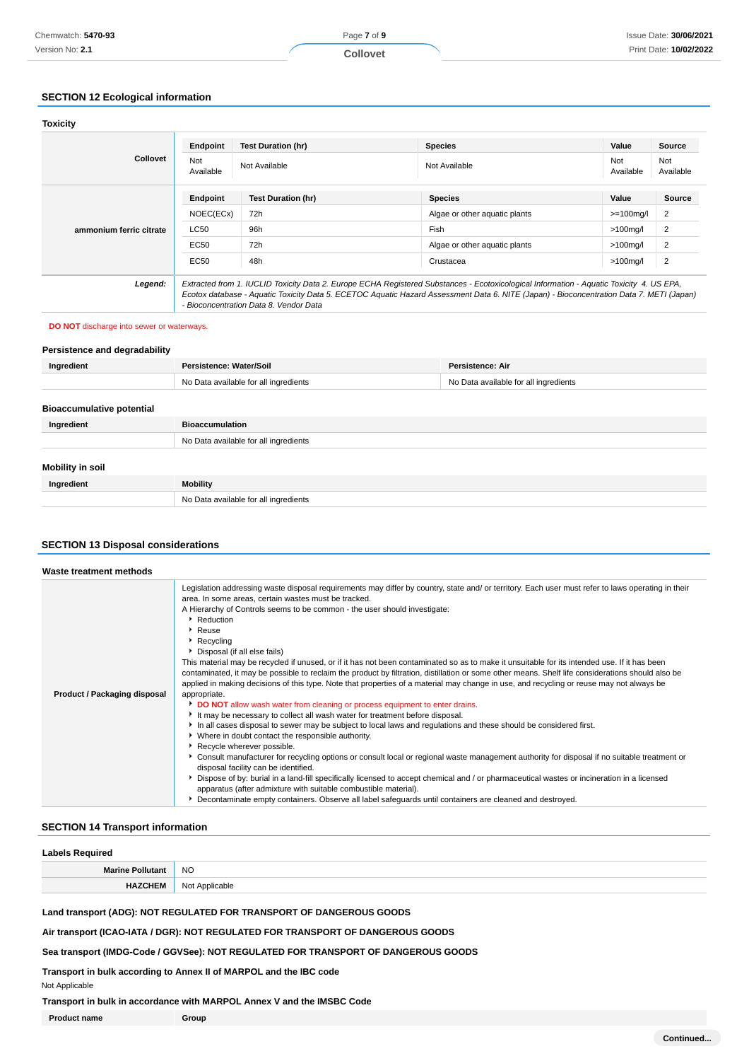## **SECTION 12 Ecological information**

| <b>Toxicity</b>         |                                                                                                                                                                                                                                                                                                                                |                           |                               |                  |                  |
|-------------------------|--------------------------------------------------------------------------------------------------------------------------------------------------------------------------------------------------------------------------------------------------------------------------------------------------------------------------------|---------------------------|-------------------------------|------------------|------------------|
|                         | Endpoint                                                                                                                                                                                                                                                                                                                       | <b>Test Duration (hr)</b> | <b>Species</b>                | Value            | Source           |
| <b>Collovet</b>         | Not<br>Available                                                                                                                                                                                                                                                                                                               | Not Available             | Not Available                 | Not<br>Available | Not<br>Available |
|                         | Endpoint                                                                                                                                                                                                                                                                                                                       | <b>Test Duration (hr)</b> | <b>Species</b>                | Value            | <b>Source</b>    |
|                         | NOEC(ECx)                                                                                                                                                                                                                                                                                                                      | 72h                       | Algae or other aquatic plants | $>=100$ mg/l     | 2                |
| ammonium ferric citrate | <b>LC50</b>                                                                                                                                                                                                                                                                                                                    | 96h                       | Fish                          | $>100$ mg/l      | $\overline{2}$   |
|                         | EC50                                                                                                                                                                                                                                                                                                                           | 72h                       | Algae or other aquatic plants | $>100$ mg/l      | $\overline{2}$   |
|                         | EC50                                                                                                                                                                                                                                                                                                                           | 48h                       | Crustacea                     | $>100$ mg/l      | $\overline{2}$   |
| Legend:                 | Extracted from 1. IUCLID Toxicity Data 2. Europe ECHA Registered Substances - Ecotoxicological Information - Aquatic Toxicity 4. US EPA,<br>Ecotox database - Aquatic Toxicity Data 5. ECETOC Aquatic Hazard Assessment Data 6. NITE (Japan) - Bioconcentration Data 7. METI (Japan)<br>- Bioconcentration Data 8. Vendor Data |                           |                               |                  |                  |

#### **DO NOT** discharge into sewer or waterways.

### **Persistence and degradability**

| Ingredient                       | Persistence: Water/Soil               | Persistence: Air                      |
|----------------------------------|---------------------------------------|---------------------------------------|
|                                  | No Data available for all ingredients | No Data available for all ingredients |
|                                  |                                       |                                       |
| <b>Bioaccumulative potential</b> |                                       |                                       |
| Ingredient                       | <b>Bioaccumulation</b>                |                                       |
|                                  | No Data available for all ingredients |                                       |
|                                  |                                       |                                       |
| <b>Mobility in soil</b>          |                                       |                                       |
| Ingredient                       | <b>Mobility</b>                       |                                       |
|                                  | No Data available for all ingredients |                                       |

### **SECTION 13 Disposal considerations**

| Waste treatment methods      |                                                                                                                                                                                                                                                                                                                                                                                                                                                                                                                                                                                                                                                                                                                                                                                                                                                                                                                                                                                                                                                                                                                                                                                                                                                                                                                                                                                                                                                                                                                                                                                                                                                                                                                              |
|------------------------------|------------------------------------------------------------------------------------------------------------------------------------------------------------------------------------------------------------------------------------------------------------------------------------------------------------------------------------------------------------------------------------------------------------------------------------------------------------------------------------------------------------------------------------------------------------------------------------------------------------------------------------------------------------------------------------------------------------------------------------------------------------------------------------------------------------------------------------------------------------------------------------------------------------------------------------------------------------------------------------------------------------------------------------------------------------------------------------------------------------------------------------------------------------------------------------------------------------------------------------------------------------------------------------------------------------------------------------------------------------------------------------------------------------------------------------------------------------------------------------------------------------------------------------------------------------------------------------------------------------------------------------------------------------------------------------------------------------------------------|
| Product / Packaging disposal | Legislation addressing waste disposal requirements may differ by country, state and/ or territory. Each user must refer to laws operating in their<br>area. In some areas, certain wastes must be tracked.<br>A Hierarchy of Controls seems to be common - the user should investigate:<br>Reduction<br>▶ Reuse<br>Recycling<br>Disposal (if all else fails)<br>This material may be recycled if unused, or if it has not been contaminated so as to make it unsuitable for its intended use. If it has been<br>contaminated, it may be possible to reclaim the product by filtration, distillation or some other means. Shelf life considerations should also be<br>applied in making decisions of this type. Note that properties of a material may change in use, and recycling or reuse may not always be<br>appropriate.<br>DO NOT allow wash water from cleaning or process equipment to enter drains.<br>It may be necessary to collect all wash water for treatment before disposal.<br>In all cases disposal to sewer may be subject to local laws and regulations and these should be considered first.<br>• Where in doubt contact the responsible authority.<br>Recycle wherever possible.<br>▶ Consult manufacturer for recycling options or consult local or regional waste management authority for disposal if no suitable treatment or<br>disposal facility can be identified.<br>Dispose of by: burial in a land-fill specifically licensed to accept chemical and / or pharmaceutical wastes or incineration in a licensed<br>apparatus (after admixture with suitable combustible material).<br>Decontaminate empty containers. Observe all label safeguards until containers are cleaned and destroyed. |

### **SECTION 14 Transport information**

| <b>Labels Required</b>  |                |
|-------------------------|----------------|
| <b>Marine Pollutant</b> | <b>NO</b>      |
| <b>HAZCHEM</b>          | Not Applicable |

**Land transport (ADG): NOT REGULATED FOR TRANSPORT OF DANGEROUS GOODS**

**Air transport (ICAO-IATA / DGR): NOT REGULATED FOR TRANSPORT OF DANGEROUS GOODS**

**Sea transport (IMDG-Code / GGVSee): NOT REGULATED FOR TRANSPORT OF DANGEROUS GOODS**

**Transport in bulk according to Annex II of MARPOL and the IBC code**

Not Applicable

**Transport in bulk in accordance with MARPOL Annex V and the IMSBC Code**

**Product name Group**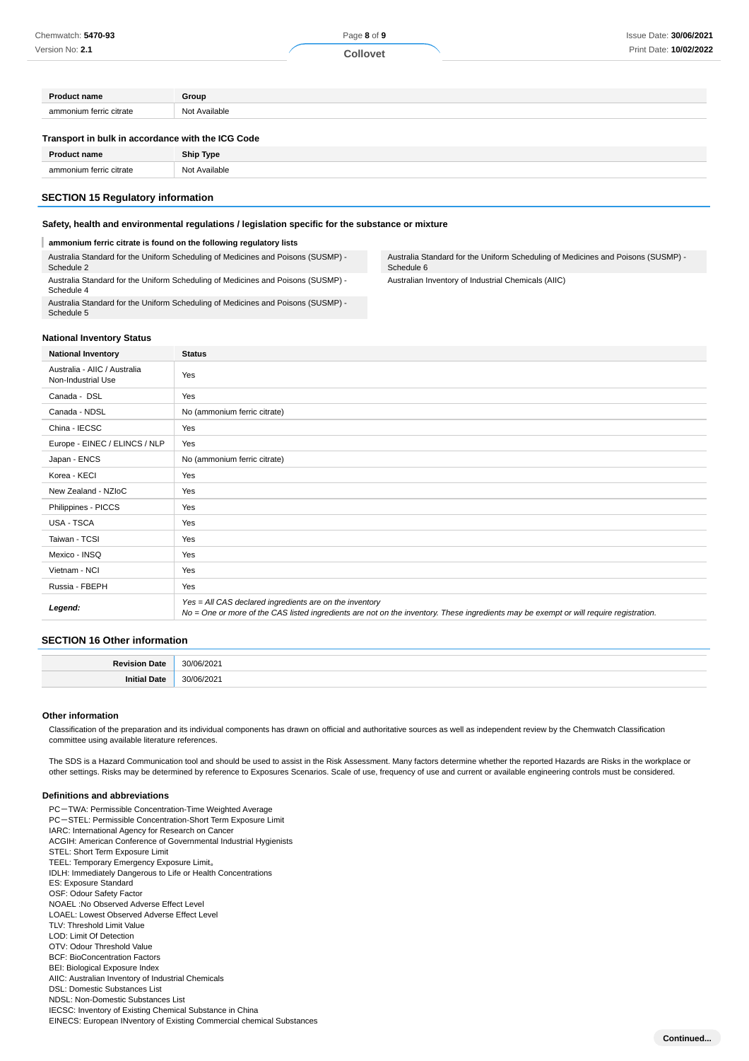**Collovet**

| <b>Product name</b>                               | Group         |
|---------------------------------------------------|---------------|
| ammonium ferric citrate                           | Not Available |
|                                                   |               |
| Transport in bulk in accordance with the ICG Code |               |
| <b>Product name</b>                               | Ship Type     |

#### **Safety, health and environmental regulations / legislation specific for the substance or mixture**

#### **ammonium ferric citrate is found on the following regulatory lists**

Australia Standard for the Uniform Scheduling of Medicines and Poisons (SUSMP) - Schedule 2 Australia Standard for the Uniform Scheduling of Medicines and Poisons (SUSMP) -

Schedule 4 Australia Standard for the Uniform Scheduling of Medicines and Poisons (SUSMP) - Schedule 5

### Australia Standard for the Uniform Scheduling of Medicines and Poisons (SUSMP) - Schedule 6

Australian Inventory of Industrial Chemicals (AIIC)

#### **National Inventory Status**

| <b>National Inventory</b>                          | <b>Status</b>                                                                                                                                                                                     |
|----------------------------------------------------|---------------------------------------------------------------------------------------------------------------------------------------------------------------------------------------------------|
| Australia - AIIC / Australia<br>Non-Industrial Use | Yes                                                                                                                                                                                               |
| Canada - DSL                                       | Yes                                                                                                                                                                                               |
| Canada - NDSL                                      | No (ammonium ferric citrate)                                                                                                                                                                      |
| China - IECSC                                      | Yes                                                                                                                                                                                               |
| Europe - EINEC / ELINCS / NLP                      | Yes                                                                                                                                                                                               |
| Japan - ENCS                                       | No (ammonium ferric citrate)                                                                                                                                                                      |
| Korea - KECI                                       | Yes                                                                                                                                                                                               |
| New Zealand - NZIoC                                | Yes                                                                                                                                                                                               |
| Philippines - PICCS                                | Yes                                                                                                                                                                                               |
| USA - TSCA                                         | Yes                                                                                                                                                                                               |
| Taiwan - TCSI                                      | Yes                                                                                                                                                                                               |
| Mexico - INSQ                                      | Yes                                                                                                                                                                                               |
| Vietnam - NCI                                      | Yes                                                                                                                                                                                               |
| Russia - FBEPH                                     | Yes                                                                                                                                                                                               |
| Legend:                                            | Yes = All CAS declared ingredients are on the inventory<br>No = One or more of the CAS listed ingredients are not on the inventory. These ingredients may be exempt or will require registration. |

#### **SECTION 16 Other information**

#### **Other information**

Classification of the preparation and its individual components has drawn on official and authoritative sources as well as independent review by the Chemwatch Classification committee using available literature references.

The SDS is a Hazard Communication tool and should be used to assist in the Risk Assessment. Many factors determine whether the reported Hazards are Risks in the workplace or other settings. Risks may be determined by reference to Exposures Scenarios. Scale of use, frequency of use and current or available engineering controls must be considered.

#### **Definitions and abbreviations**

- PC-TWA: Permissible Concentration-Time Weighted Average PC-STEL: Permissible Concentration-Short Term Exposure Limit IARC: International Agency for Research on Cancer ACGIH: American Conference of Governmental Industrial Hygienists STEL: Short Term Exposure Limit TEEL: Temporary Emergency Exposure Limit。 IDLH: Immediately Dangerous to Life or Health Concentrations ES: Exposure Standard OSF: Odour Safety Factor NOAEL :No Observed Adverse Effect Level LOAEL: Lowest Observed Adverse Effect Level TLV: Threshold Limit Value LOD: Limit Of Detection OTV: Odour Threshold Value BCF: BioConcentration Factors BEI: Biological Exposure Index AIIC: Australian Inventory of Industrial Chemicals DSL: Domestic Substances List NDSL: Non-Domestic Substances List IECSC: Inventory of Existing Chemical Substance in China
- EINECS: European INventory of Existing Commercial chemical Substances